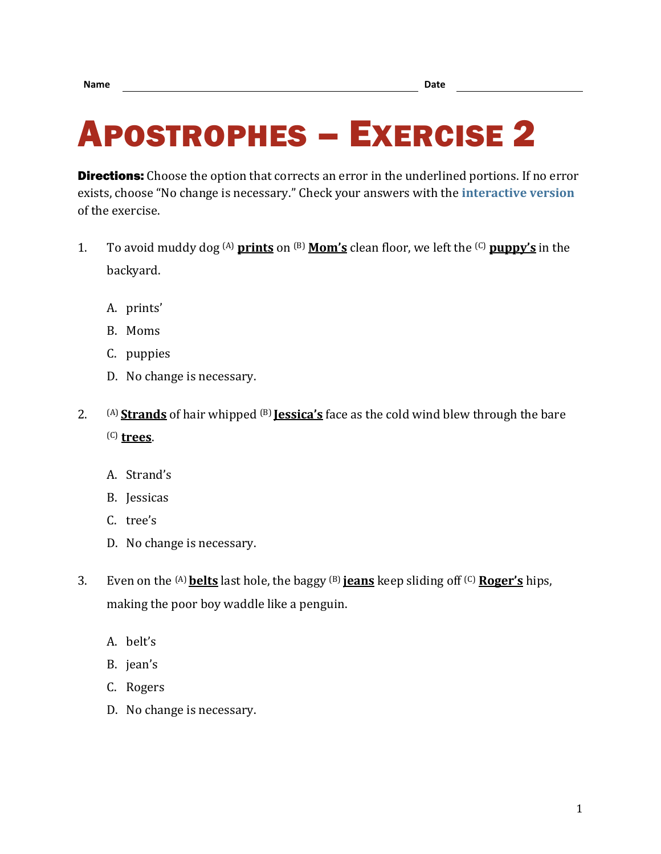## APOSTROPHES – EXERCISE 2

**Directions:** Choose the option that corrects an error in the underlined portions. If no error exists, choose "No change is necessary." Check your answers with the **[interactive version](https://chompchomp.com/hotpotatoes/apostrophes02.htm)** of the exercise.

- 1. To avoid muddy dog (A) **prints** on (B) **Mom's** clean floor, we left the (C) **puppy's** in the backyard.
	- A. prints'
	- B. Moms
	- C. puppies
	- D. No change is necessary.
- 2. (A) **Strands** of hair whipped (B) **Jessica's** face as the cold wind blew through the bare (C) **trees**.
	- A. Strand's
	- B. Jessicas
	- C. tree's
	- D. No change is necessary.
- 3. Even on the (A)**belts** last hole, the baggy (B) **jeans** keep sliding off (C) **Roger's** hips, making the poor boy waddle like a penguin.
	- A. belt's
	- B. jean's
	- C. Rogers
	- D. No change is necessary.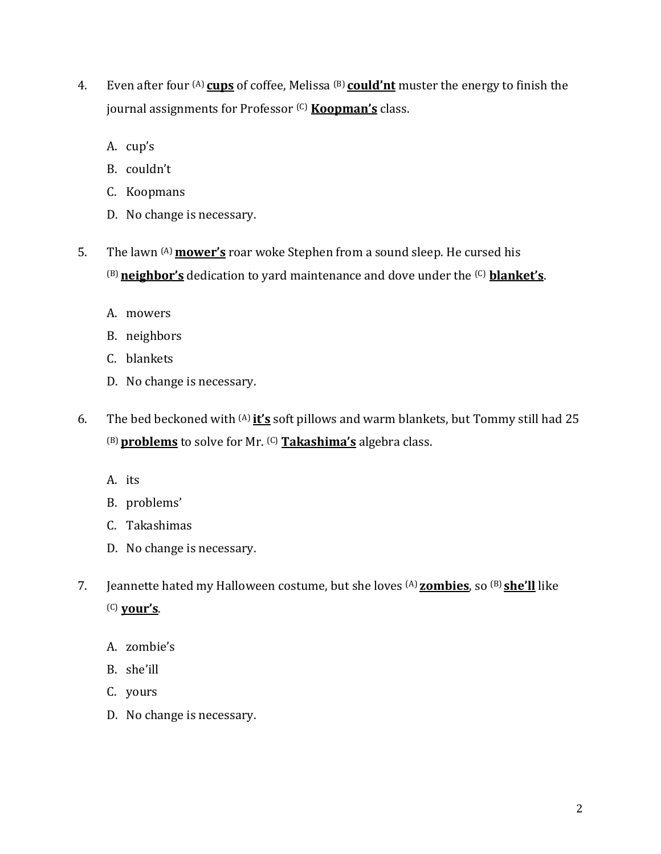- 4. Even after four (A) **cups** of coffee, Melissa (B) **could'nt** muster the energy to finish the journal assignments for Professor (C) **Koopman's** class.
	- A. cup's
	- B. couldn't
	- C. Koopmans
	- D. No change is necessary.
- 5. The lawn (A) **mower's** roar woke Stephen from a sound sleep. He cursed his (B)**neighbor's** dedication to yard maintenance and dove under the (C) **blanket's**.
	- A. mowers
	- B. neighbors
	- C. blankets
	- D. No change is necessary.
- 6. The bed beckoned with (A) **it's** soft pillows and warm blankets, but Tommy still had 25 (B)**problems** to solve for Mr. (C) **Takashima's** algebra class.
	- A. its
	- B. problems'
	- C. Takashimas
	- D. No change is necessary.
- 7. Jeannette hated my Halloween costume, but she loves (A) **zombies**, so (B) **she'll** like (C) **your's**.
	- A. zombie's
	- B. she'ill
	- C. yours
	- D. No change is necessary.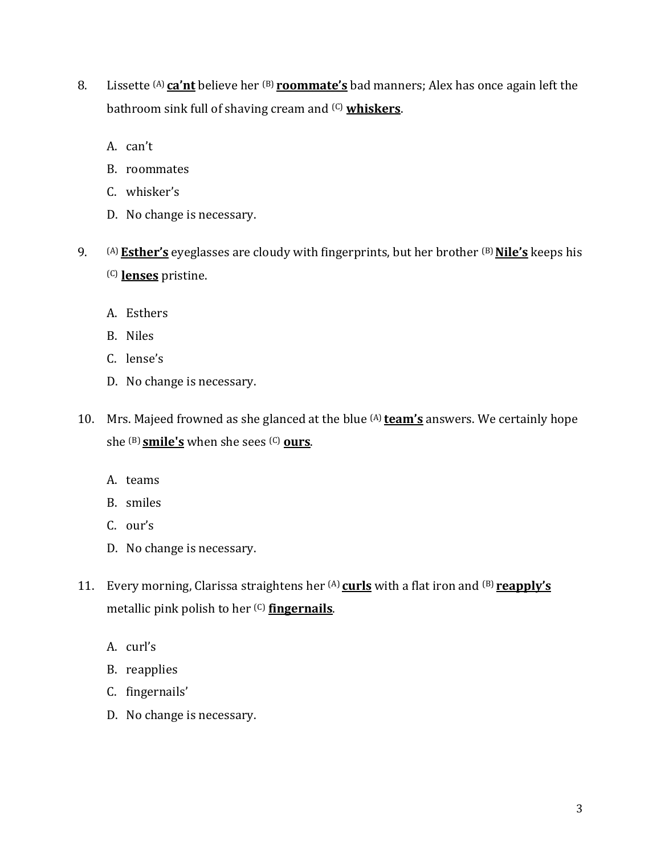- 8. Lissette <sup>(A)</sup> ca'nt believe her <sup>(B)</sup> roommate's bad manners; Alex has once again left the bathroom sink full of shaving cream and (C) **whiskers**.
	- A. can't
	- B. roommates
	- C. whisker's
	- D. No change is necessary.
- 9. (A) **Esther's** eyeglasses are cloudy with fingerprints, but her brother (B)**Nile's** keeps his (C) **lenses** pristine.
	- A. Esthers
	- B. Niles
	- C. lense's
	- D. No change is necessary.
- 10. Mrs. Majeed frowned as she glanced at the blue (A) **team's** answers. We certainly hope she (B) **smile's** when she sees (C) **ours**.
	- A. teams
	- B. smiles
	- C. our's
	- D. No change is necessary.
- 11. Every morning, Clarissa straightens her (A) **curls** with a flat iron and (B) **reapply's** metallic pink polish to her (C) **fingernails**.
	- A. curl's
	- B. reapplies
	- C. fingernails'
	- D. No change is necessary.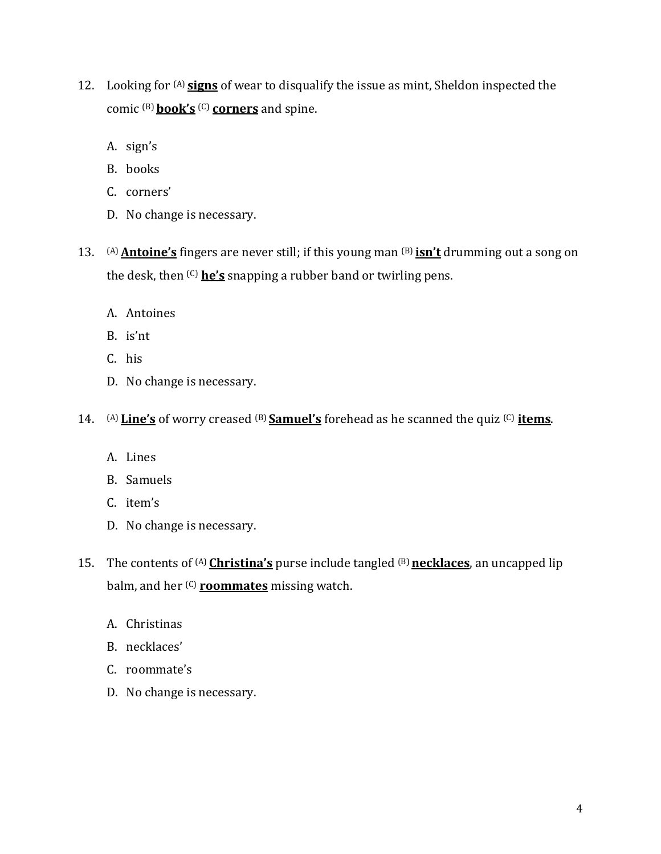- 12. Looking for (A) **signs** of wear to disqualify the issue as mint, Sheldon inspected the comic (B) **book's** (C) **corners** and spine.
	- A. sign's
	- B. books
	- C. corners'
	- D. No change is necessary.
- 13. (A)**Antoine's** fingers are never still; if this young man (B) **isn't** drumming out a song on the desk, then (C) **he's** snapping a rubber band or twirling pens.
	- A. Antoines
	- B. is'nt
	- C. his
	- D. No change is necessary.
- 14. (A) **Line's** of worry creased (B) **Samuel's** forehead as he scanned the quiz (C) **items**.
	- A. Lines
	- B. Samuels
	- C. item's
	- D. No change is necessary.
- 15. The contents of (A) **Christina's** purse include tangled (B) **necklaces**, an uncapped lip balm, and her (C) **roommates** missing watch.
	- A. Christinas
	- B. necklaces'
	- C. roommate's
	- D. No change is necessary.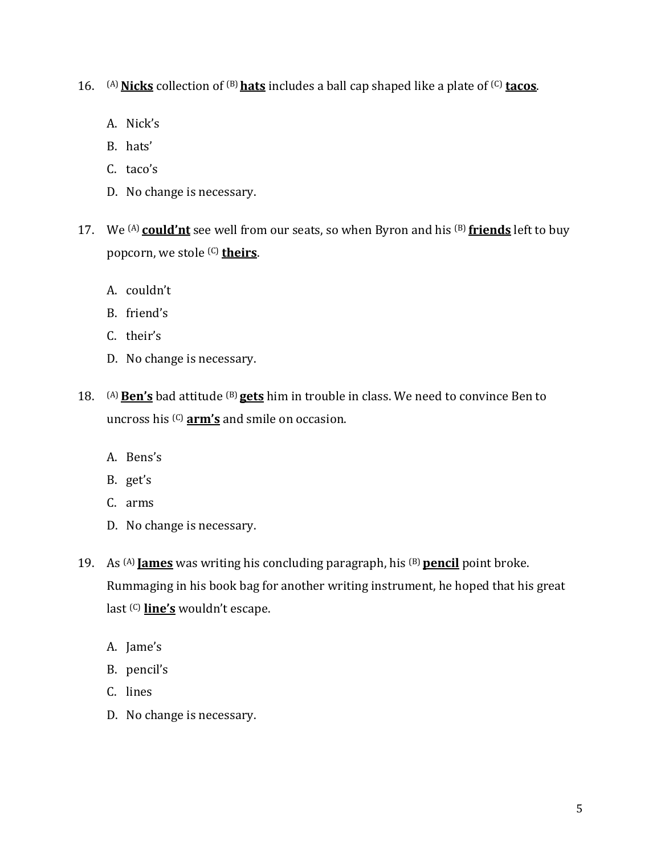16. (A)**Nicks** collection of (B)**hats** includes a ball cap shaped like a plate of (C) **tacos**.

- A. Nick's
- B. hats'
- C. taco's
- D. No change is necessary.
- 17. We (A) **could'nt** see well from our seats, so when Byron and his (B) **friends** left to buy popcorn, we stole (C) **theirs**.
	- A. couldn't
	- B. friend's
	- C. their's
	- D. No change is necessary.
- 18. (A)**Ben's** bad attitude (B) **gets** him in trouble in class. We need to convince Ben to uncross his (C) **arm's** and smile on occasion.
	- A. Bens's
	- B. get's
	- C. arms
	- D. No change is necessary.
- 19. As <sup>(A)</sup> **James** was writing his concluding paragraph, his <sup>(B)</sup> pencil point broke. Rummaging in his book bag for another writing instrument, he hoped that his great last (C) **line's** wouldn't escape.
	- A. Jame's
	- B. pencil's
	- C. lines
	- D. No change is necessary.